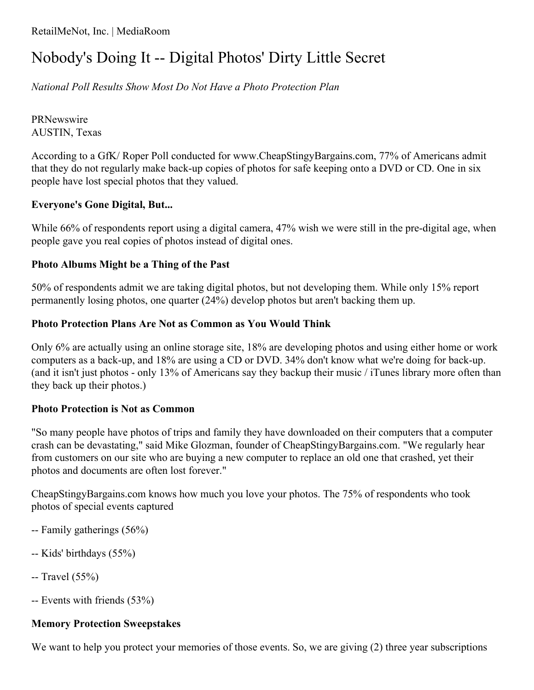RetailMeNot, Inc. | MediaRoom

# Nobody's Doing It -- Digital Photos' Dirty Little Secret

*National Poll Results Show Most Do Not Have a Photo Protection Plan*

PRNewswire AUSTIN, Texas

According to a GfK/ Roper Poll conducted for www.CheapStingyBargains.com, 77% of Americans admit that they do not regularly make back-up copies of photos for safe keeping onto a DVD or CD. One in six people have lost special photos that they valued.

## **Everyone's Gone Digital, But...**

While 66% of respondents report using a digital camera, 47% wish we were still in the pre-digital age, when people gave you real copies of photos instead of digital ones.

## **Photo Albums Might be a Thing of the Past**

50% of respondents admit we are taking digital photos, but not developing them. While only 15% report permanently losing photos, one quarter (24%) develop photos but aren't backing them up.

## **Photo Protection Plans Are Not as Common as You Would Think**

Only 6% are actually using an online storage site, 18% are developing photos and using either home or work computers as a back-up, and 18% are using a CD or DVD. 34% don't know what we're doing for back-up. (and it isn't just photos - only 13% of Americans say they backup their music / iTunes library more often than they back up their photos.)

#### **Photo Protection is Not as Common**

"So many people have photos of trips and family they have downloaded on their computers that a computer crash can be devastating," said Mike Glozman, founder of CheapStingyBargains.com. "We regularly hear from customers on our site who are buying a new computer to replace an old one that crashed, yet their photos and documents are often lost forever."

CheapStingyBargains.com knows how much you love your photos. The 75% of respondents who took photos of special events captured

- -- Family gatherings (56%)
- -- Kids' birthdays (55%)
- $-$  Travel (55%)
- -- Events with friends (53%)

# **Memory Protection Sweepstakes**

We want to help you protect your memories of those events. So, we are giving (2) three year subscriptions